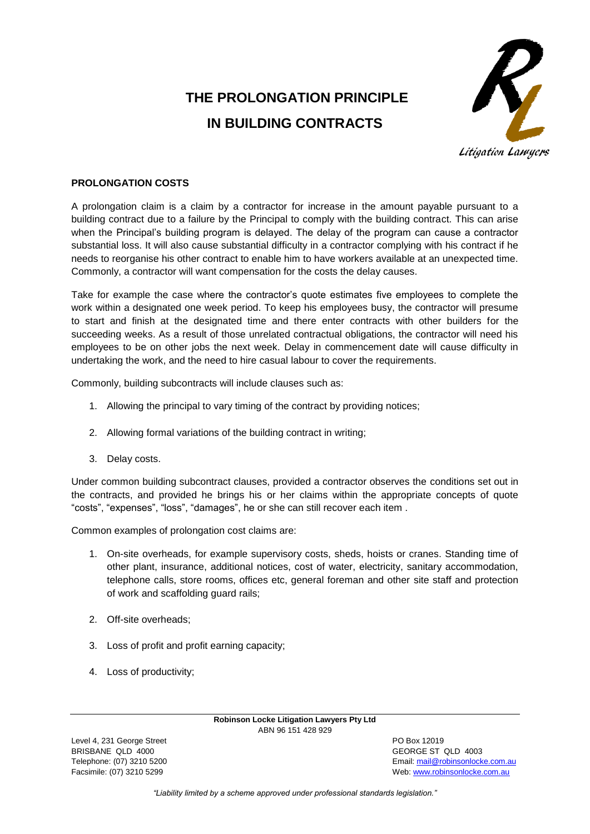# **THE PROLONGATION PRINCIPLE IN BUILDING CONTRACTS**



## Litigation Lawyers

## **PROLONGATION COSTS**

A prolongation claim is a claim by a contractor for increase in the amount payable pursuant to a building contract due to a failure by the Principal to comply with the building contract. This can arise when the Principal's building program is delayed. The delay of the program can cause a contractor substantial loss. It will also cause substantial difficulty in a contractor complying with his contract if he needs to reorganise his other contract to enable him to have workers available at an unexpected time. Commonly, a contractor will want compensation for the costs the delay causes.

Take for example the case where the contractor's quote estimates five employees to complete the work within a designated one week period. To keep his employees busy, the contractor will presume to start and finish at the designated time and there enter contracts with other builders for the succeeding weeks. As a result of those unrelated contractual obligations, the contractor will need his employees to be on other jobs the next week. Delay in commencement date will cause difficulty in undertaking the work, and the need to hire casual labour to cover the requirements.

Commonly, building subcontracts will include clauses such as:

- 1. Allowing the principal to vary timing of the contract by providing notices;
- 2. Allowing formal variations of the building contract in writing;
- 3. Delay costs.

Under common building subcontract clauses, provided a contractor observes the conditions set out in the contracts, and provided he brings his or her claims within the appropriate concepts of quote "costs", "expenses", "loss", "damages", he or she can still recover each item .

Common examples of prolongation cost claims are:

- 1. On-site overheads, for example supervisory costs, sheds, hoists or cranes. Standing time of other plant, insurance, additional notices, cost of water, electricity, sanitary accommodation, telephone calls, store rooms, offices etc, general foreman and other site staff and protection of work and scaffolding guard rails;
- 2. Off-site overheads;
- 3. Loss of profit and profit earning capacity;
- 4. Loss of productivity;

**Robinson Locke Litigation Lawyers Pty Ltd** ABN 96 151 428 929

Level 4, 231 George Street **PO Box 12019** BRISBANE QLD 4000 GEORGE ST QLD 4003

Telephone: (07) 3210 5200 Email[: mail@robinsonlocke.com.au](mailto:mail@robinsonlocke.com.au) Facsimile: (07) 3210 5299 Web: [www.robinsonlocke.com.au](http://www.robinsonlocke.com.au/)

*"Liability limited by a scheme approved under professional standards legislation."*